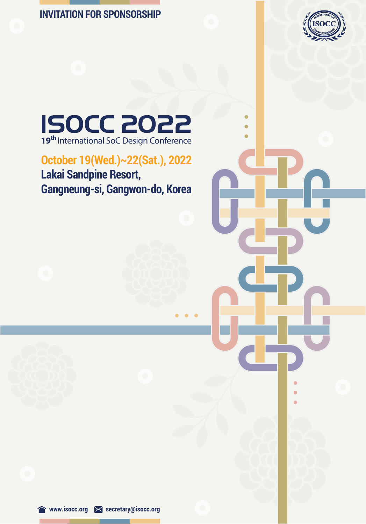## **October 19(Wed.)~22(Sat.), 2022 Lakai Sandpine Resort, Gangneung-si, Gangwon-do, Korea**

# **19th** International SoC Design Conference

#### **INVITATION FOR SPONSORSHIP**



 $\bullet$ 

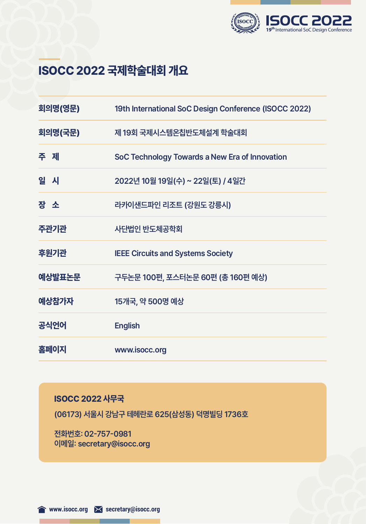



## **ISOCC 2022 국제학술대회 개요**

| 회의명(영문) | 19th International SoC Design Conference (ISOCC 2022) |  |  |
|---------|-------------------------------------------------------|--|--|
| 회의명(국문) | 제 19회 국제시스템온칩반도체설계 학술대회                               |  |  |
| 주 제     | SoC Technology Towards a New Era of Innovation        |  |  |
| 일 시     | 2022년 10월 19일(수) ~ 22일(토) / 4일간                       |  |  |
| 장 소     | 라카이샌드파인 리조트 (강원도 강릉시)                                 |  |  |
| 주관기관    | 사단법인 반도체공학회                                           |  |  |
| 후원기관    | <b>IEEE Circuits and Systems Society</b>              |  |  |
| 예상발표논문  | 구두논문 100편, 포스터논문 60편 (총 160편 예상)                      |  |  |
| 예상참가자   | 15개국, 약 500명 예상                                       |  |  |
| 공식언어    | <b>English</b>                                        |  |  |
| 홈페이지    | www.isocc.org                                         |  |  |



**(06173) 서울시 강남구 테헤란로 625(삼성동) 덕명빌딩 1736호**

**전화번호: 02-757-0981 이메일: secretary@isocc.org**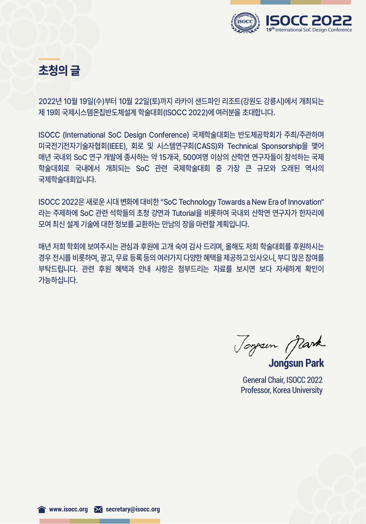



**Jongsun Park**

General Chair, ISOCC 2022

#### Professor, Korea University



2022년 10월 19일(수)부터 10월 22일(토)까지 라카이 샌드파인 리조트(강원도 강릉시)에서 개최되는<br>제 19회 국제시스템온칩반도체설계 학술대회(ISOCC 2022)에 여러분을 초대합니다.

ISOCC (International SoC Design Conference) 국제학술대회는 반도체공학회가 주최/주관하며<br>미국전기전자기술자협회(IEEE), 회로 및 시스템연구회(CASS)와 Technical Sponsorship을 맺어<br>매년 국내외 SoC 연구 개발에 종사하는 약 15개국, 500여명 이상의 산학연 연구자들이 참석하는 국제<br>학술대회로 국내에서 개최되는 SoC 관련 국제학술대회

ISOCC 2022은 새로운 시대 변화에 대비한 "SoC Technology Towards a New Era of Innovation" 라는 주제하에 SoC 관련 석학들의 초청 강연과 Tutorial을 비롯하여 국내외 산학연 연구자가 한자리에<br>모여 최신 설계 기술에 대한 정보를 교환하는 만남의 장을 마련할 계획입니다.

매년 저희 학회에 보여주시는 관심과 후원에 고개 숙여 감사 드리며, 올해도 저희 학술대회를 후원하시는<br>경우 전시를 비롯하여, 광고, 무료 등록 등의 여러가지 다양한 혜택을 제공하고 있사오니, 부디 많은 참여를<br>부탁드립니다. 관련 후원 혜택과 안내 사항은 첨부드리는 자료를 보시면 보다 자세하게 확인이<br>가능하십니다.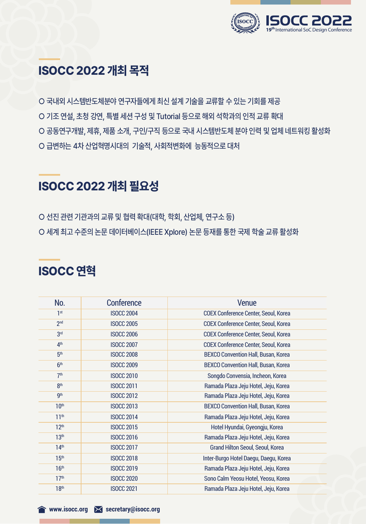



### **ISOCC 2022 개최 목적**

# **ISOCC 연혁**

○ 국내외 시스템반도체분야 연구자들에게 최신 설계 기술을 교류할 수 있는 기회를 제공 ○ 기조 연설, 초청 강연, 특별 세션 구성 및 Tutorial 등으로 해외 석학과의 인적 교류 확대 ○ 공동연구개발, 제휴, 제품 소개, 구인/구직 등으로 국내 시스템반도체 분야 인력 및 업체 네트워킹 활성화 ○ 급변하는 4차 산업혁명시대의 기술적, 사회적변화에 능동적으로 대처

## **ISOCC 2022 개최 필요성**

○ 선진 관련 기관과의 교류 및 협력 확대(대학, 학회, 산업체, 연구소 등) ○ 세계 최고 수준의 논문 데이터베이스(IEEE Xplore) 논문 등재를 통한 국제 학술 교류 활성화

| No.              | Conference        | <b>Venue</b>                                |
|------------------|-------------------|---------------------------------------------|
| 1 <sup>st</sup>  | <b>ISOCC 2004</b> | <b>COEX Conference Center, Seoul, Korea</b> |
| 2 <sub>nd</sub>  | <b>ISOCC 2005</b> | <b>COEX Conference Center, Seoul, Korea</b> |
| 3 <sup>rd</sup>  | <b>ISOCC 2006</b> | <b>COEX Conference Center, Seoul, Korea</b> |
| 4 <sup>th</sup>  | <b>ISOCC 2007</b> | <b>COEX Conference Center, Seoul, Korea</b> |
| 5 <sup>th</sup>  | <b>ISOCC 2008</b> | <b>BEXCO Convention Hall, Busan, Korea</b>  |
| 6 <sup>th</sup>  | <b>ISOCC 2009</b> | <b>BEXCO Convention Hall, Busan, Korea</b>  |
| 7 <sup>th</sup>  | <b>ISOCC 2010</b> | Songdo Convensia, Incheon, Korea            |
| 8 <sup>th</sup>  | <b>ISOCC 2011</b> | Ramada Plaza Jeju Hotel, Jeju, Korea        |
| <b>gth</b>       | <b>ISOCC 2012</b> | Ramada Plaza Jeju Hotel, Jeju, Korea        |
| 10 <sup>th</sup> | <b>ISOCC 2013</b> | <b>BEXCO Convention Hall, Busan, Korea</b>  |
| 11 <sup>th</sup> | <b>ISOCC 2014</b> | Ramada Plaza Jeju Hotel, Jeju, Korea        |
| 12 <sup>th</sup> | <b>ISOCC 2015</b> | Hotel Hyundai, Gyeongju, Korea              |
| 13 <sup>th</sup> | <b>ISOCC 2016</b> | Ramada Plaza Jeju Hotel, Jeju, Korea        |
| 14 <sup>th</sup> | <b>ISOCC 2017</b> | <b>Grand Hilton Seoul, Seoul, Korea</b>     |
| 15 <sup>th</sup> | <b>ISOCC 2018</b> | Inter-Burgo Hotel Daegu, Daegu, Korea       |
| 16 <sup>th</sup> | <b>ISOCC 2019</b> | Ramada Plaza Jeju Hotel, Jeju, Korea        |
| 17 <sup>th</sup> | <b>ISOCC 2020</b> | Sono Calm Yeosu Hotel, Yeosu, Korea         |
| 18 <sup>th</sup> | <b>ISOCC 2021</b> | Ramada Plaza Jeju Hotel, Jeju, Korea        |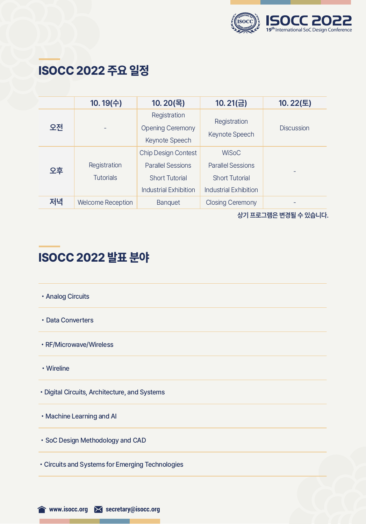



# **ISOCC 2022 발표 분야**

**· Analog Circuits** 

**• Data Converters** 

• RF/Microwave/Wireless

• Wireline

� Digital Circuits, Architecture, and Systems

**• Machine Learning and AI** 

� SoC Design Methodology and CAD

� Circuits and Systems for Emerging Technologies

|    | 10.19(수)                         | 10.20(목)                                                                                                        | 10.21(금)                                                                                          | 10.22(토)          |
|----|----------------------------------|-----------------------------------------------------------------------------------------------------------------|---------------------------------------------------------------------------------------------------|-------------------|
| 오전 | $\overline{\phantom{a}}$         | Registration<br><b>Opening Ceremony</b><br><b>Keynote Speech</b>                                                | Registration<br><b>Keynote Speech</b>                                                             | <b>Discussion</b> |
| 오후 | Registration<br><b>Tutorials</b> | <b>Chip Design Contest</b><br><b>Parallel Sessions</b><br><b>Short Tutorial</b><br><b>Industrial Exhibition</b> | <b>WiSoC</b><br><b>Parallel Sessions</b><br><b>Short Tutorial</b><br><b>Industrial Exhibition</b> |                   |
| 저녁 | <b>Welcome Reception</b>         | <b>Banquet</b>                                                                                                  | <b>Closing Ceremony</b>                                                                           |                   |

**상기 프로그램은 변경될 수 있습니다.**

## **ISOCC 2022 주요 일정**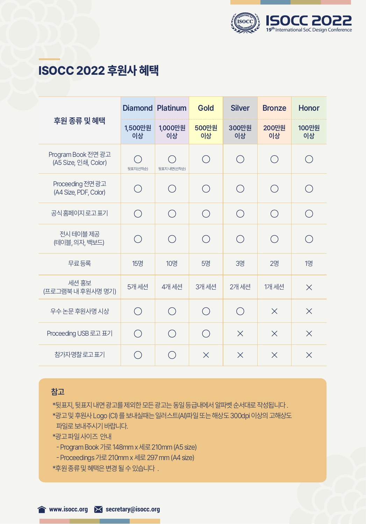



|                                            | <b>Diamond Platinum</b>                                 |               | <b>Gold</b> | <b>Silver</b>                   | <b>Bronze</b> | <b>Honor</b> |
|--------------------------------------------|---------------------------------------------------------|---------------|-------------|---------------------------------|---------------|--------------|
| 후원 종류 및 혜택                                 | 1,500만원<br>이상                                           | 1,000만원<br>이상 | 500만원<br>이상 | 300만원<br>이상                     | 200만원<br>이상   | 100만원<br>이상  |
| Program Book 전면 광고<br>(A5 Size, 인쇄, Color) | $\left(\begin{array}{c} \end{array}\right)$<br>뒷표지(선착순) | 뒷표지 내면(선착순)   |             | $\bigcirc$                      | ( )           | $(\ )$       |
| Proceeding 전면 광고<br>(A4 Size, PDF, Color)  | $\bigcirc$                                              | $\bigcirc$    | $( \ )$     | $\bigcirc$                      | $\bigcap$     | $\bigcirc$   |
| 공식 홈페이지 로고 표기                              | $\bigcirc$                                              | $\bigcap$     | ( )         | $\bigcirc$                      | $\bigcirc$    | $\bigcap$    |
| 전시 테이블 제공<br>(테이블, 의자, 백보드)                | ( )                                                     | $\bigcap$     |             | $\bigcirc$                      | $\big(\big)$  | $\bigcirc$   |
| 무료 등록                                      | 15명                                                     | 10명           | 5명          | 3명                              | 2명            | 1명           |
| 세션 홍보<br>(프로그램북 내 후원사명 명기)                 | 5개세션                                                    | 4개세션          | 3개세션        | 2개세션                            | 1개세션          | $\times$     |
| 우수 논문 후원사명 시상                              | ( )                                                     | $(\ )$        |             | $\left(\begin{array}{c}\right)$ | $\times$      | $\times$     |
| Proceeding USB 로고 표기                       | $( \ )$                                                 | $\bigcap$     |             | $\times$                        | $\times$      | $\times$     |
| 참가자명찰 로고 표기                                | $( \ )$                                                 | $(\ )$        | $\times$    | $\times$                        | $\times$      | $\times$     |

## **ISOCC 2022 후원사 혜택**

#### **참고**

\*뒷표지, 뒷표지 내면 광고를 제외한 모든 광고는 동일 등급내에서 알파벳 순서대로 작성됩니다 . \*광고 및 후원사 Logo (CI) 를 보내실때는 일러스트(AI)파일 또는 해상도 300dpi 이상의 고해상도 파일로 보내주시기 바랍니다.

\*광고 파일 사이즈 안내 - Program Book 가로 148mm x 세로 210mm (A5 size) - Proceedings 가로 210mm x 세로 297 mm (A4 size)

\*후원 종류 및 혜택은 변경 될 수 있습니다 .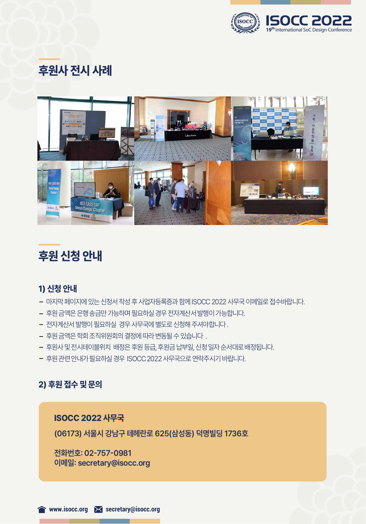





# **후원 신청 안내**

**1) 신청 안내**



전자계산서 발행이 필요하실 경우 사무국에 별도로 신청해 주셔야합니다 . –

- 후원 금액은 학회 조직위원회의 결정에 따라 변동될 수 있습니다.

- 
- − 후원 금액은 학회 조직위원회의 결정에 따라 변동될 수 있습니다 .<br>− 후원사 및 전시테이블위치 배정은 후원 등급, 후원금 납부일, 신청 일자 순서대로 배정됩니다.
- 
- 후원 관련 안내가 필요하실 경우 ISOCC 2022 사무국으로 연락주시기 바랍니다. –
- 

− 마지막 페이지에 있는 신청서 작성 후 사업자등록증과 함께 ISOCC 2022 사무국 이메일로 접수바랍니다.<br>− 후원 금액은 은행 송금만 가능하며 필요하실 경우 전자계산서 발행이 가능합니다.

- 후원 금액은 은행 송금만 가능하며 필요하실 경우 전자계산서 발행이 가능합니다.

#### **2) 후원 접수 및 문의**

#### **ISOCC 2022 사무국**

**(06173) 서울시 강남구 테헤란로 625(삼성동) 덕명빌딩 1736호**

**전화번호: 02-757-0981 이메일: secretary@isocc.org**

# **후원사 전시 사례**